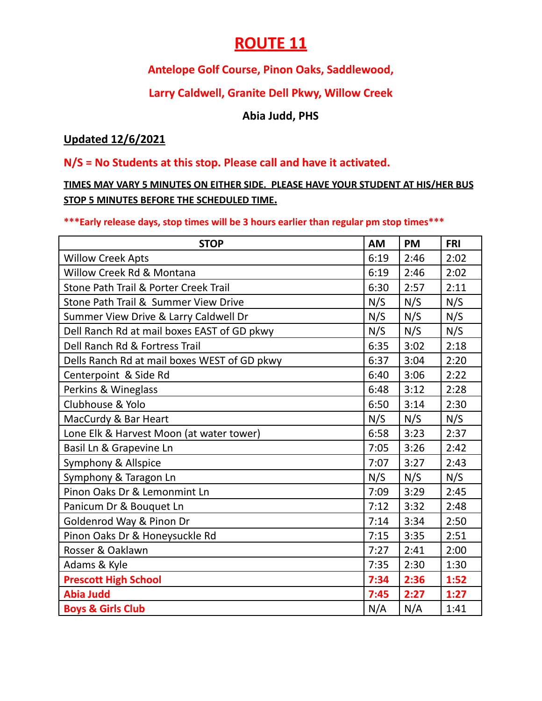## **ROUTE 11**

## **Antelope Golf Course, Pinon Oaks, Saddlewood,**

### **Larry Caldwell, Granite Dell Pkwy, Willow Creek**

#### **Abia Judd, PHS**

#### **Updated 12/6/2021**

#### **N/S = No Students at this stop. Please call and have it activated.**

**TIMES MAY VARY 5 MINUTES ON EITHER SIDE. PLEASE HAVE YOUR STUDENT AT HIS/HER BUS STOP 5 MINUTES BEFORE THE SCHEDULED TIME.**

#### **\*\*\*Early release days, stop times will be 3 hours earlier than regular pm stop times\*\*\***

| <b>STOP</b>                                  | AM   | <b>PM</b> | <b>FRI</b> |
|----------------------------------------------|------|-----------|------------|
| <b>Willow Creek Apts</b>                     | 6:19 | 2:46      | 2:02       |
| Willow Creek Rd & Montana                    | 6:19 | 2:46      | 2:02       |
| Stone Path Trail & Porter Creek Trail        | 6:30 | 2:57      | 2:11       |
| Stone Path Trail & Summer View Drive         | N/S  | N/S       | N/S        |
| Summer View Drive & Larry Caldwell Dr        | N/S  | N/S       | N/S        |
| Dell Ranch Rd at mail boxes EAST of GD pkwy  | N/S  | N/S       | N/S        |
| Dell Ranch Rd & Fortress Trail               | 6:35 | 3:02      | 2:18       |
| Dells Ranch Rd at mail boxes WEST of GD pkwy | 6:37 | 3:04      | 2:20       |
| Centerpoint & Side Rd                        | 6:40 | 3:06      | 2:22       |
| Perkins & Wineglass                          | 6:48 | 3:12      | 2:28       |
| Clubhouse & Yolo                             | 6:50 | 3:14      | 2:30       |
| MacCurdy & Bar Heart                         | N/S  | N/S       | N/S        |
| Lone Elk & Harvest Moon (at water tower)     | 6:58 | 3:23      | 2:37       |
| Basil Ln & Grapevine Ln                      | 7:05 | 3:26      | 2:42       |
| Symphony & Allspice                          | 7:07 | 3:27      | 2:43       |
| Symphony & Taragon Ln                        | N/S  | N/S       | N/S        |
| Pinon Oaks Dr & Lemonmint Ln                 | 7:09 | 3:29      | 2:45       |
| Panicum Dr & Bouquet Ln                      | 7:12 | 3:32      | 2:48       |
| Goldenrod Way & Pinon Dr                     | 7:14 | 3:34      | 2:50       |
| Pinon Oaks Dr & Honeysuckle Rd               | 7:15 | 3:35      | 2:51       |
| Rosser & Oaklawn                             | 7:27 | 2:41      | 2:00       |
| Adams & Kyle                                 | 7:35 | 2:30      | 1:30       |
| <b>Prescott High School</b>                  | 7:34 | 2:36      | 1:52       |
| <b>Abia Judd</b>                             | 7:45 | 2:27      | 1:27       |
| <b>Boys &amp; Girls Club</b>                 | N/A  | N/A       | 1:41       |